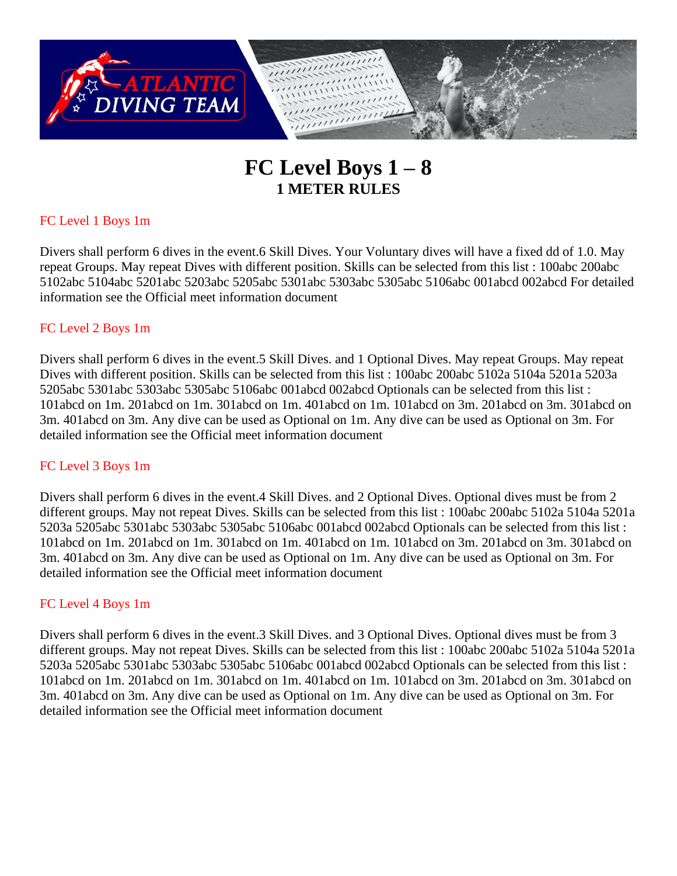

# **FC Level Boys 1 – 8 1 METER RULES**

# FC Level 1 Boys 1m

Divers shall perform 6 dives in the event.6 Skill Dives. Your Voluntary dives will have a fixed dd of 1.0. May repeat Groups. May repeat Dives with different position. Skills can be selected from this list : 100abc 200abc 5102abc 5104abc 5201abc 5203abc 5205abc 5301abc 5303abc 5305abc 5106abc 001abcd 002abcd For detailed information see the Official meet information document

# FC Level 2 Boys 1m

Divers shall perform 6 dives in the event.5 Skill Dives. and 1 Optional Dives. May repeat Groups. May repeat Dives with different position. Skills can be selected from this list : 100abc 200abc 5102a 5104a 5201a 5203a 5205abc 5301abc 5303abc 5305abc 5106abc 001abcd 002abcd Optionals can be selected from this list : 101abcd on 1m. 201abcd on 1m. 301abcd on 1m. 401abcd on 1m. 101abcd on 3m. 201abcd on 3m. 301abcd on 3m. 401abcd on 3m. Any dive can be used as Optional on 1m. Any dive can be used as Optional on 3m. For detailed information see the Official meet information document

# FC Level 3 Boys 1m

Divers shall perform 6 dives in the event.4 Skill Dives. and 2 Optional Dives. Optional dives must be from 2 different groups. May not repeat Dives. Skills can be selected from this list : 100abc 200abc 5102a 5104a 5201a 5203a 5205abc 5301abc 5303abc 5305abc 5106abc 001abcd 002abcd Optionals can be selected from this list : 101abcd on 1m. 201abcd on 1m. 301abcd on 1m. 401abcd on 1m. 101abcd on 3m. 201abcd on 3m. 301abcd on 3m. 401abcd on 3m. Any dive can be used as Optional on 1m. Any dive can be used as Optional on 3m. For detailed information see the Official meet information document

# FC Level 4 Boys 1m

Divers shall perform 6 dives in the event.3 Skill Dives. and 3 Optional Dives. Optional dives must be from 3 different groups. May not repeat Dives. Skills can be selected from this list : 100abc 200abc 5102a 5104a 5201a 5203a 5205abc 5301abc 5303abc 5305abc 5106abc 001abcd 002abcd Optionals can be selected from this list : 101abcd on 1m. 201abcd on 1m. 301abcd on 1m. 401abcd on 1m. 101abcd on 3m. 201abcd on 3m. 301abcd on 3m. 401abcd on 3m. Any dive can be used as Optional on 1m. Any dive can be used as Optional on 3m. For detailed information see the Official meet information document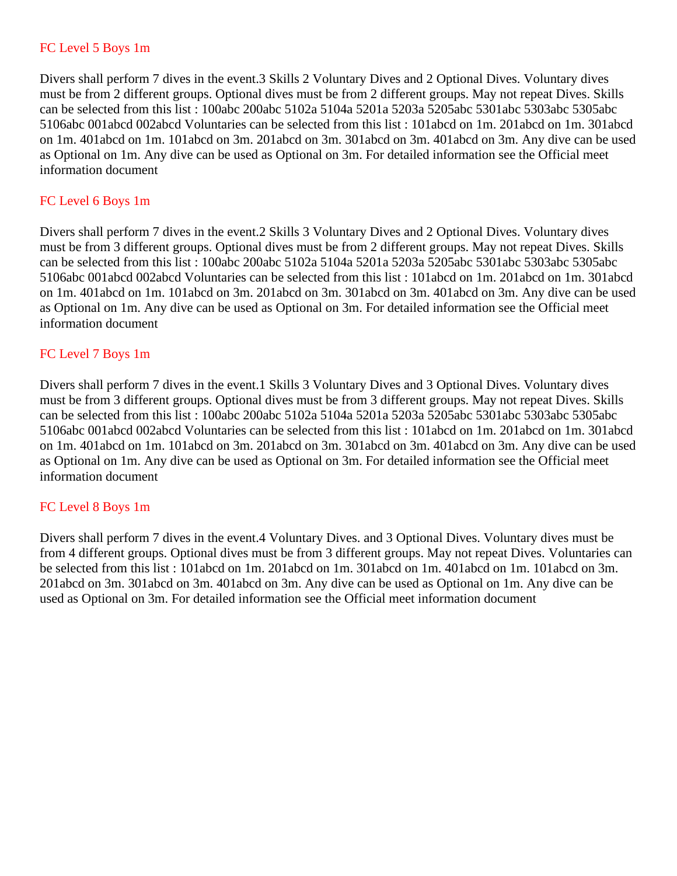### FC Level 5 Boys 1m

Divers shall perform 7 dives in the event.3 Skills 2 Voluntary Dives and 2 Optional Dives. Voluntary dives must be from 2 different groups. Optional dives must be from 2 different groups. May not repeat Dives. Skills can be selected from this list : 100abc 200abc 5102a 5104a 5201a 5203a 5205abc 5301abc 5303abc 5305abc 5106abc 001abcd 002abcd Voluntaries can be selected from this list : 101abcd on 1m. 201abcd on 1m. 301abcd on 1m. 401abcd on 1m. 101abcd on 3m. 201abcd on 3m. 301abcd on 3m. 401abcd on 3m. Any dive can be used as Optional on 1m. Any dive can be used as Optional on 3m. For detailed information see the Official meet information document

### FC Level 6 Boys 1m

Divers shall perform 7 dives in the event.2 Skills 3 Voluntary Dives and 2 Optional Dives. Voluntary dives must be from 3 different groups. Optional dives must be from 2 different groups. May not repeat Dives. Skills can be selected from this list : 100abc 200abc 5102a 5104a 5201a 5203a 5205abc 5301abc 5303abc 5305abc 5106abc 001abcd 002abcd Voluntaries can be selected from this list : 101abcd on 1m. 201abcd on 1m. 301abcd on 1m. 401abcd on 1m. 101abcd on 3m. 201abcd on 3m. 301abcd on 3m. 401abcd on 3m. Any dive can be used as Optional on 1m. Any dive can be used as Optional on 3m. For detailed information see the Official meet information document

### FC Level 7 Boys 1m

Divers shall perform 7 dives in the event.1 Skills 3 Voluntary Dives and 3 Optional Dives. Voluntary dives must be from 3 different groups. Optional dives must be from 3 different groups. May not repeat Dives. Skills can be selected from this list : 100abc 200abc 5102a 5104a 5201a 5203a 5205abc 5301abc 5303abc 5305abc 5106abc 001abcd 002abcd Voluntaries can be selected from this list : 101abcd on 1m. 201abcd on 1m. 301abcd on 1m. 401abcd on 1m. 101abcd on 3m. 201abcd on 3m. 301abcd on 3m. 401abcd on 3m. Any dive can be used as Optional on 1m. Any dive can be used as Optional on 3m. For detailed information see the Official meet information document

### FC Level 8 Boys 1m

Divers shall perform 7 dives in the event.4 Voluntary Dives. and 3 Optional Dives. Voluntary dives must be from 4 different groups. Optional dives must be from 3 different groups. May not repeat Dives. Voluntaries can be selected from this list : 101abcd on 1m. 201abcd on 1m. 301abcd on 1m. 401abcd on 1m. 101abcd on 3m. 201abcd on 3m. 301abcd on 3m. 401abcd on 3m. Any dive can be used as Optional on 1m. Any dive can be used as Optional on 3m. For detailed information see the Official meet information document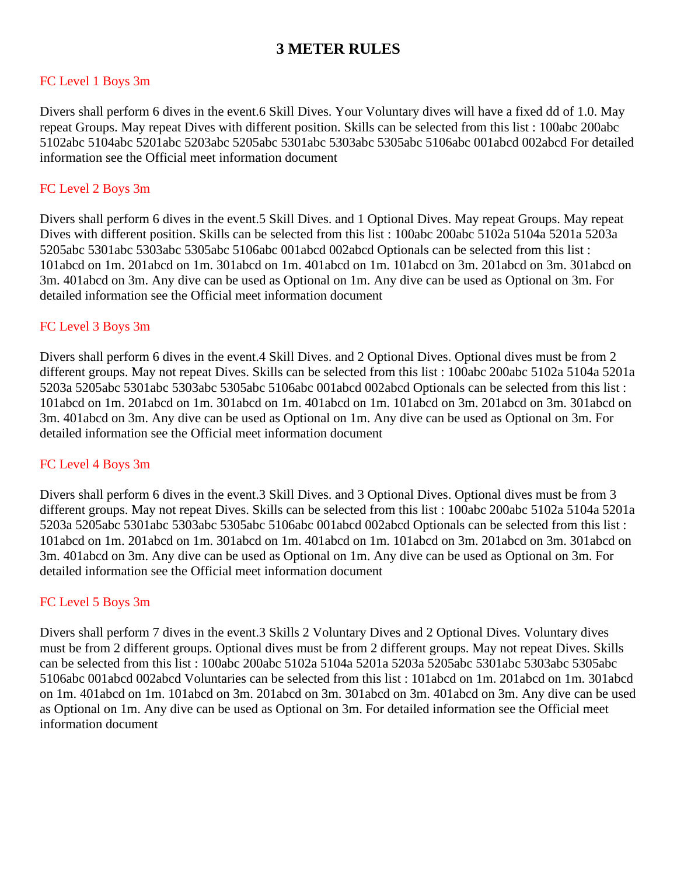# **3 METER RULES**

### FC Level 1 Boys 3m

Divers shall perform 6 dives in the event.6 Skill Dives. Your Voluntary dives will have a fixed dd of 1.0. May repeat Groups. May repeat Dives with different position. Skills can be selected from this list : 100abc 200abc 5102abc 5104abc 5201abc 5203abc 5205abc 5301abc 5303abc 5305abc 5106abc 001abcd 002abcd For detailed information see the Official meet information document

### FC Level 2 Boys 3m

Divers shall perform 6 dives in the event.5 Skill Dives. and 1 Optional Dives. May repeat Groups. May repeat Dives with different position. Skills can be selected from this list : 100abc 200abc 5102a 5104a 5201a 5203a 5205abc 5301abc 5303abc 5305abc 5106abc 001abcd 002abcd Optionals can be selected from this list : 101abcd on 1m. 201abcd on 1m. 301abcd on 1m. 401abcd on 1m. 101abcd on 3m. 201abcd on 3m. 301abcd on 3m. 401abcd on 3m. Any dive can be used as Optional on 1m. Any dive can be used as Optional on 3m. For detailed information see the Official meet information document

### FC Level 3 Boys 3m

Divers shall perform 6 dives in the event.4 Skill Dives. and 2 Optional Dives. Optional dives must be from 2 different groups. May not repeat Dives. Skills can be selected from this list : 100abc 200abc 5102a 5104a 5201a 5203a 5205abc 5301abc 5303abc 5305abc 5106abc 001abcd 002abcd Optionals can be selected from this list : 101abcd on 1m. 201abcd on 1m. 301abcd on 1m. 401abcd on 1m. 101abcd on 3m. 201abcd on 3m. 301abcd on 3m. 401abcd on 3m. Any dive can be used as Optional on 1m. Any dive can be used as Optional on 3m. For detailed information see the Official meet information document

### FC Level 4 Boys 3m

Divers shall perform 6 dives in the event.3 Skill Dives. and 3 Optional Dives. Optional dives must be from 3 different groups. May not repeat Dives. Skills can be selected from this list : 100abc 200abc 5102a 5104a 5201a 5203a 5205abc 5301abc 5303abc 5305abc 5106abc 001abcd 002abcd Optionals can be selected from this list : 101abcd on 1m. 201abcd on 1m. 301abcd on 1m. 401abcd on 1m. 101abcd on 3m. 201abcd on 3m. 301abcd on 3m. 401abcd on 3m. Any dive can be used as Optional on 1m. Any dive can be used as Optional on 3m. For detailed information see the Official meet information document

# FC Level 5 Boys 3m

Divers shall perform 7 dives in the event.3 Skills 2 Voluntary Dives and 2 Optional Dives. Voluntary dives must be from 2 different groups. Optional dives must be from 2 different groups. May not repeat Dives. Skills can be selected from this list : 100abc 200abc 5102a 5104a 5201a 5203a 5205abc 5301abc 5303abc 5305abc 5106abc 001abcd 002abcd Voluntaries can be selected from this list : 101abcd on 1m. 201abcd on 1m. 301abcd on 1m. 401abcd on 1m. 101abcd on 3m. 201abcd on 3m. 301abcd on 3m. 401abcd on 3m. Any dive can be used as Optional on 1m. Any dive can be used as Optional on 3m. For detailed information see the Official meet information document